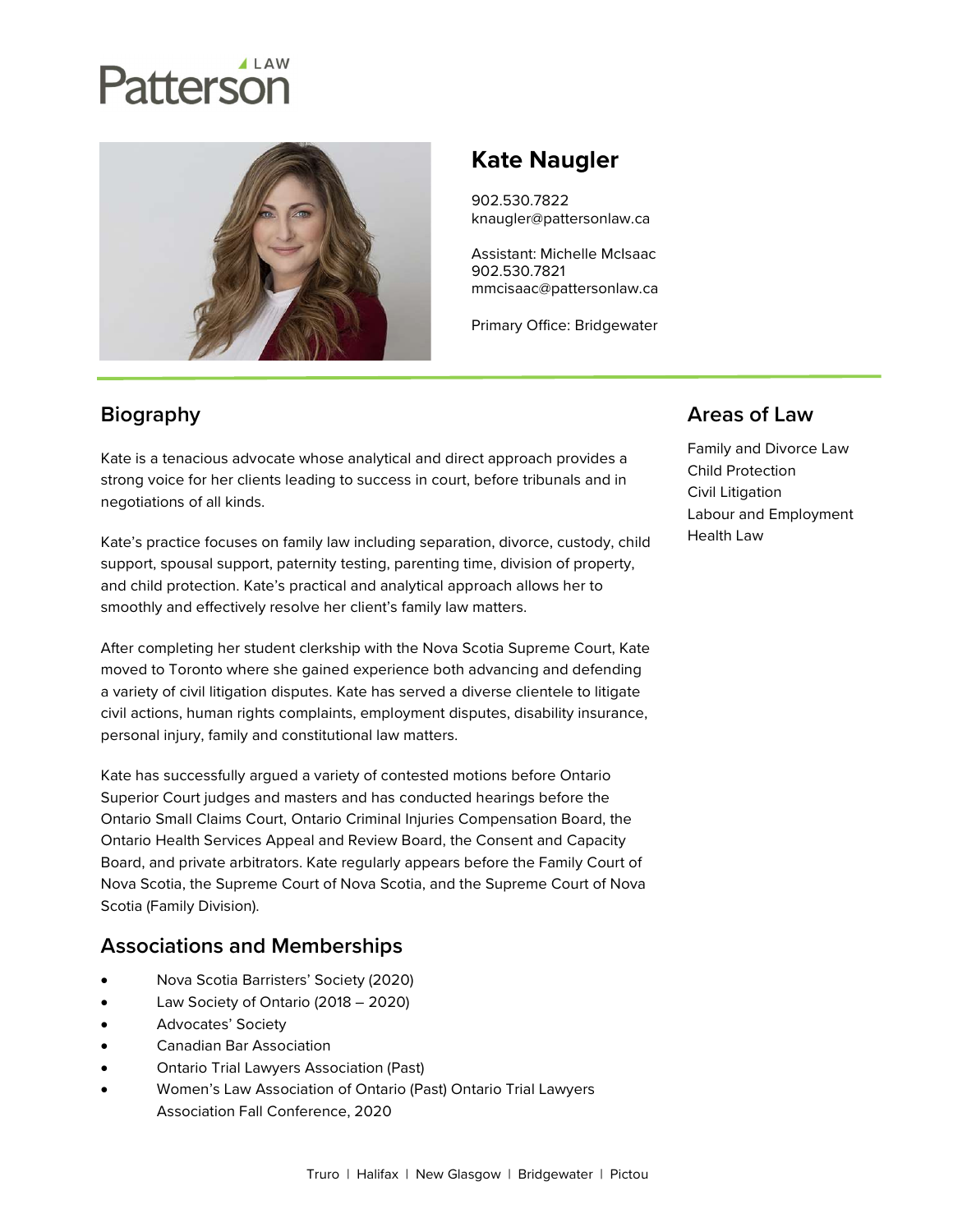# Patterson



# Kate Naugler

902.530.7822 knaugler@pattersonlaw.ca

Assistant: Michelle McIsaac 902.530.7821 mmcisaac@pattersonlaw.ca

Primary Office: Bridgewater

## **Biography**

Kate is a tenacious advocate whose analytical and direct approach provides a strong voice for her clients leading to success in court, before tribunals and in negotiations of all kinds.

Kate's practice focuses on family law including separation, divorce, custody, child support, spousal support, paternity testing, parenting time, division of property, and child protection. Kate's practical and analytical approach allows her to smoothly and effectively resolve her client's family law matters.

After completing her student clerkship with the Nova Scotia Supreme Court, Kate moved to Toronto where she gained experience both advancing and defending a variety of civil litigation disputes. Kate has served a diverse clientele to litigate civil actions, human rights complaints, employment disputes, disability insurance, personal injury, family and constitutional law matters.

Kate has successfully argued a variety of contested motions before Ontario Superior Court judges and masters and has conducted hearings before the Ontario Small Claims Court, Ontario Criminal Injuries Compensation Board, the Ontario Health Services Appeal and Review Board, the Consent and Capacity Board, and private arbitrators. Kate regularly appears before the Family Court of Nova Scotia, the Supreme Court of Nova Scotia, and the Supreme Court of Nova Scotia (Family Division).

### Associations and Memberships

- Nova Scotia Barristers' Society (2020)
- Law Society of Ontario (2018 2020)
- Advocates' Society
- Canadian Bar Association
- Ontario Trial Lawyers Association (Past)
- Women's Law Association of Ontario (Past) Ontario Trial Lawyers Association Fall Conference, 2020

#### Areas of Law

Family and Divorce Law Child Protection Civil Litigation Labour and Employment Health Law